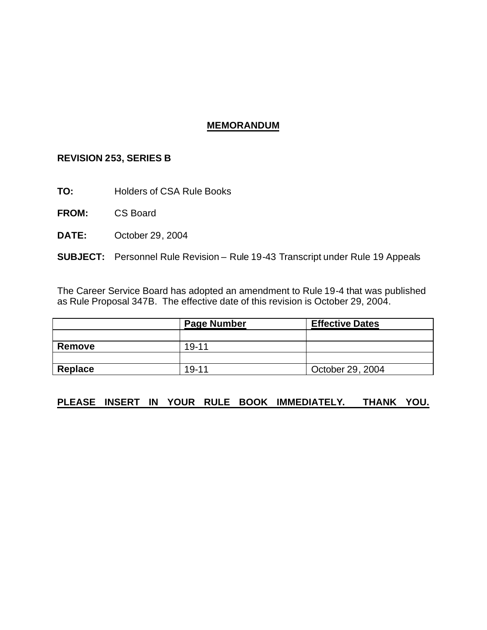# **MEMORANDUM**

# **REVISION 253, SERIES B**

**TO:** Holders of CSA Rule Books

**FROM:** CS Board

**DATE:** October 29, 2004

**SUBJECT:** Personnel Rule Revision – Rule 19-43 Transcript under Rule 19 Appeals

The Career Service Board has adopted an amendment to Rule 19-4 that was published as Rule Proposal 347B. The effective date of this revision is October 29, 2004.

|         | <b>Page Number</b> | <b>Effective Dates</b> |
|---------|--------------------|------------------------|
|         |                    |                        |
| Remove  | 19-11              |                        |
|         |                    |                        |
| Replace | $19 - 11$          | October 29, 2004       |

# **PLEASE INSERT IN YOUR RULE BOOK IMMEDIATELY. THANK YOU.**